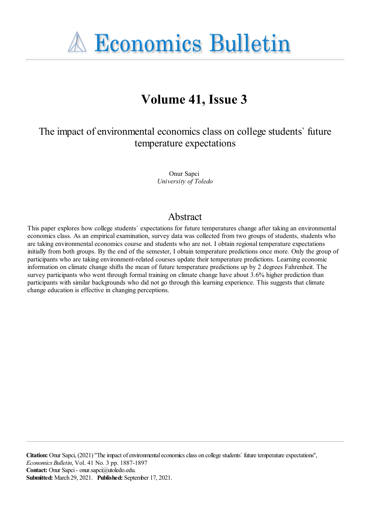

# **Volume 41, Issue 3**

The impact of environmental economics class on college students' future temperature expectations

> Onur Sapci *University of Toledo*

### Abstract

This paper explores how college students` expectations for future temperatures change after taking an environmental economics class. As an empirical examination, survey data was collected from two groups of students, students who are taking environmental economics course and students who are not. I obtain regional temperature expectations initially from both groups. By the end of the semester, I obtain temperature predictions once more. Only the group of participants who are taking environment-related courses update their temperature predictions. Learning economic information on climate change shifts the mean of future temperature predictions up by 2 degrees Fahrenheit. The survey participants who went through formal training on climate change have about 3.6% higher prediction than participants with similar backgrounds who did not go through this learning experience. This suggests that climate change education is effective in changing perceptions.

**Citation:** Onur Sapci, (2021) "The impact of environmental economics class on college students' future temperature expectations", *Economics Bulletin*, Vol. 41 No. 3 pp. 1887-1897 **Contact:** Onur Sapci- onur.sapci@utoledo.edu. **Submitted:** March 29, 2021. **Published:** September 17, 2021.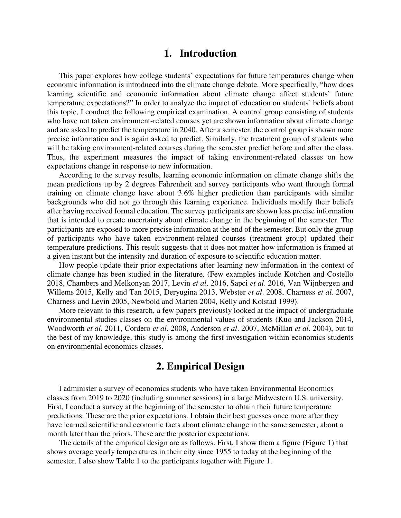### **1. Introduction**

This paper explores how college students` expectations for future temperatures change when economic information is introduced into the climate change debate. More specifically, "how does learning scientific and economic information about climate change affect students` future temperature expectations?" In order to analyze the impact of education on students` beliefs about this topic, I conduct the following empirical examination. A control group consisting of students who have not taken environment-related courses yet are shown information about climate change and are asked to predict the temperature in 2040. After a semester, the control group is shown more precise information and is again asked to predict. Similarly, the treatment group of students who will be taking environment-related courses during the semester predict before and after the class. Thus, the experiment measures the impact of taking environment-related classes on how expectations change in response to new information.

According to the survey results, learning economic information on climate change shifts the mean predictions up by 2 degrees Fahrenheit and survey participants who went through formal training on climate change have about 3.6% higher prediction than participants with similar backgrounds who did not go through this learning experience. Individuals modify their beliefs after having received formal education. The survey participants are shown less precise information that is intended to create uncertainty about climate change in the beginning of the semester. The participants are exposed to more precise information at the end of the semester. But only the group of participants who have taken environment-related courses (treatment group) updated their temperature predictions. This result suggests that it does not matter how information is framed at a given instant but the intensity and duration of exposure to scientific education matter.

How people update their prior expectations after learning new information in the context of climate change has been studied in the literature. (Few examples include Kotchen and Costello 2018, Chambers and Melkonyan 2017, Levin *et al*. 2016, Sapci *et al*. 2016, Van Wijnbergen and Willems 2015, Kelly and Tan 2015, Deryugina 2013, Webster *et al*. 2008, Charness *et al*. 2007, Charness and Levin 2005, Newbold and Marten 2004, Kelly and Kolstad 1999).

More relevant to this research, a few papers previously looked at the impact of undergraduate environmental studies classes on the environmental values of students (Kuo and Jackson 2014, Woodworth *et al*. 2011, Cordero *et al*. 2008, Anderson *et al*. 2007, McMillan *et al*. 2004), but to the best of my knowledge, this study is among the first investigation within economics students on environmental economics classes.

### **2. Empirical Design**

I administer a survey of economics students who have taken Environmental Economics classes from 2019 to 2020 (including summer sessions) in a large Midwestern U.S. university. First, I conduct a survey at the beginning of the semester to obtain their future temperature predictions. These are the prior expectations. I obtain their best guesses once more after they have learned scientific and economic facts about climate change in the same semester, about a month later than the priors. These are the posterior expectations.

The details of the empirical design are as follows. First, I show them a figure (Figure 1) that shows average yearly temperatures in their city since 1955 to today at the beginning of the semester. I also show Table 1 to the participants together with Figure 1.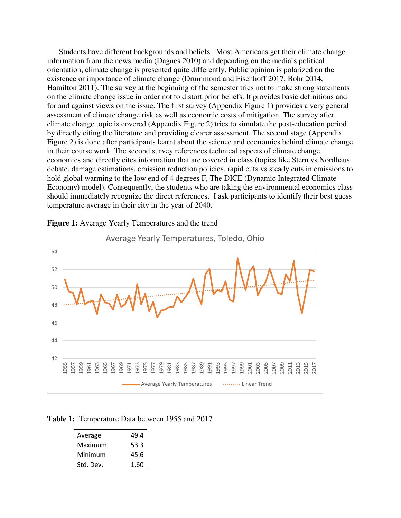Students have different backgrounds and beliefs. Most Americans get their climate change information from the news media (Dagnes 2010) and depending on the media`s political orientation, climate change is presented quite differently. Public opinion is polarized on the existence or importance of climate change (Drummond and Fischhoff 2017, Bohr 2014, Hamilton 2011). The survey at the beginning of the semester tries not to make strong statements on the climate change issue in order not to distort prior beliefs. It provides basic definitions and for and against views on the issue. The first survey (Appendix Figure 1) provides a very general assessment of climate change risk as well as economic costs of mitigation. The survey after climate change topic is covered (Appendix Figure 2) tries to simulate the post-education period by directly citing the literature and providing clearer assessment. The second stage (Appendix Figure 2) is done after participants learnt about the science and economics behind climate change in their course work. The second survey references technical aspects of climate change economics and directly cites information that are covered in class (topics like Stern vs Nordhaus debate, damage estimations, emission reduction policies, rapid cuts vs steady cuts in emissions to hold global warming to the low end of 4 degrees F, The DICE (Dynamic Integrated Climate-Economy) model). Consequently, the students who are taking the environmental economics class should immediately recognize the direct references. I ask participants to identify their best guess temperature average in their city in the year of 2040.



**Figure 1:** Average Yearly Temperatures and the trend

#### **Table 1:** Temperature Data between 1955 and 2017

| Average   | 49.4 |
|-----------|------|
| Maximum   | 53.3 |
| Minimum   | 45.6 |
| Std. Dev. | 1.60 |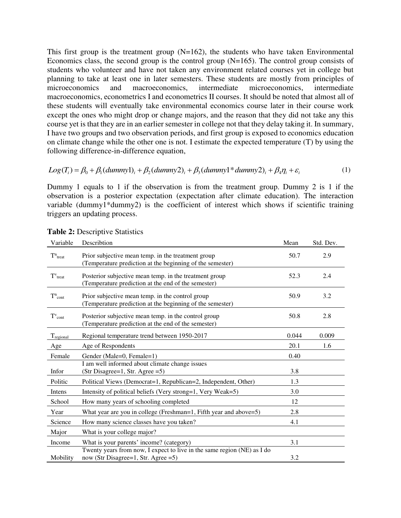This first group is the treatment group  $(N=162)$ , the students who have taken Environmental Economics class, the second group is the control group  $(N=165)$ . The control group consists of students who volunteer and have not taken any environment related courses yet in college but planning to take at least one in later semesters. These students are mostly from principles of microeconomics and macroeconomics, intermediate microeconomics, intermediate macroeconomics, econometrics I and econometrics II courses. It should be noted that almost all of these students will eventually take environmental economics course later in their course work except the ones who might drop or change majors, and the reason that they did not take any this course yet is that they are in an earlier semester in college not that they delay taking it. In summary, I have two groups and two observation periods, and first group is exposed to economics education on climate change while the other one is not. I estimate the expected temperature (T) by using the following difference-in-difference equation,

$$
Log(T_i) = \beta_0 + \beta_1 (dummy1)_i + \beta_2 (dummy2)_i + \beta_3 (dummy1 * dummy2)_i + \beta_4 \eta_i + \varepsilon_i
$$
\n(1)

Dummy 1 equals to 1 if the observation is from the treatment group. Dummy 2 is 1 if the observation is a posterior expectation (expectation after climate education). The interaction variable (dummy1\*dummy2) is the coefficient of interest which shows if scientific training triggers an updating process.

| Variable                 | Describtion                                                                                                        | Mean  | Std. Dev. |
|--------------------------|--------------------------------------------------------------------------------------------------------------------|-------|-----------|
| $T^n$ <sub>treat</sub>   | Prior subjective mean temp. in the treatment group<br>(Temperature prediction at the beginning of the semester)    | 50.7  | 2.9       |
| $T^{\rm v}$ treat        | Posterior subjective mean temp. in the treatment group<br>(Temperature prediction at the end of the semester)      | 52.3  | 2.4       |
| $T^{\rm n}{}_{\rm cont}$ | Prior subjective mean temp. in the control group<br>(Temperature prediction at the beginning of the semester)      | 50.9  | 3.2       |
| $T^{\rm v}_{\rm cont}$   | Posterior subjective mean temp. in the control group<br>(Temperature prediction at the end of the semester)        | 50.8  | 2.8       |
| Tregional                | Regional temperature trend between 1950-2017                                                                       | 0.044 | 0.009     |
| Age                      | Age of Respondents                                                                                                 | 20.1  | 1.6       |
| Female                   | Gender (Male=0, Female=1)                                                                                          | 0.40  |           |
|                          | I am well informed about climate change issues                                                                     |       |           |
| Infor                    | (Str Disagree=1, Str. Agree =5)                                                                                    | 3.8   |           |
| Politic                  | Political Views (Democrat=1, Republican=2, Independent, Other)                                                     | 1.3   |           |
| Intens                   | Intensity of political beliefs (Very strong=1, Very Weak=5)                                                        | 3.0   |           |
| School                   | How many years of schooling completed                                                                              | 12    |           |
| Year                     | What year are you in college (Freshman=1, Fifth year and above=5)                                                  | 2.8   |           |
| Science                  | How many science classes have you taken?                                                                           | 4.1   |           |
| Major                    | What is your college major?                                                                                        |       |           |
| Income                   | What is your parents' income? (category)                                                                           | 3.1   |           |
| Mobility                 | Twenty years from now, I expect to live in the same region (NE) as I do<br>now (Str Disagree=1, Str. Agree = $5$ ) | 3.2   |           |

**Table 2:** Descriptive Statistics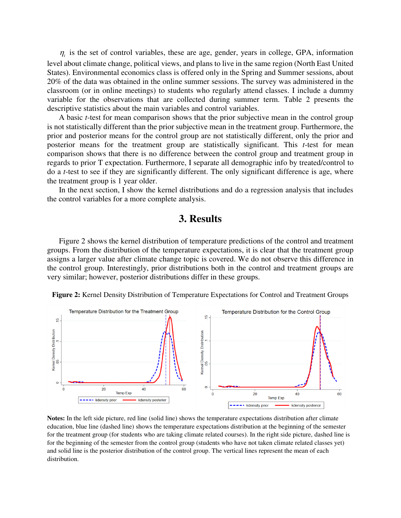$\eta_i$  is the set of control variables, these are age, gender, years in college, GPA, information level about climate change, political views, and plans to live in the same region (North East United States). Environmental economics class is offered only in the Spring and Summer sessions, about 20% of the data was obtained in the online summer sessions. The survey was administered in the classroom (or in online meetings) to students who regularly attend classes. I include a dummy variable for the observations that are collected during summer term. Table 2 presents the descriptive statistics about the main variables and control variables.

A basic *t*-test for mean comparison shows that the prior subjective mean in the control group is not statistically different than the prior subjective mean in the treatment group. Furthermore, the prior and posterior means for the control group are not statistically different, only the prior and posterior means for the treatment group are statistically significant. This *t*-test for mean comparison shows that there is no difference between the control group and treatment group in regards to prior T expectation. Furthermore, I separate all demographic info by treated/control to do a *t*-test to see if they are significantly different. The only significant difference is age, where the treatment group is 1 year older.

In the next section, I show the kernel distributions and do a regression analysis that includes the control variables for a more complete analysis.

### **3. Results**

Figure 2 shows the kernel distribution of temperature predictions of the control and treatment groups. From the distribution of the temperature expectations, it is clear that the treatment group assigns a larger value after climate change topic is covered. We do not observe this difference in the control group. Interestingly, prior distributions both in the control and treatment groups are very similar; however, posterior distributions differ in these groups.



**Figure 2:** Kernel Density Distribution of Temperature Expectations for Control and Treatment Groups

**Notes:** In the left side picture, red line (solid line) shows the temperature expectations distribution after climate education, blue line (dashed line) shows the temperature expectations distribution at the beginning of the semester for the treatment group (for students who are taking climate related courses). In the right side picture, dashed line is for the beginning of the semester from the control group (students who have not taken climate related classes yet) and solid line is the posterior distribution of the control group. The vertical lines represent the mean of each distribution.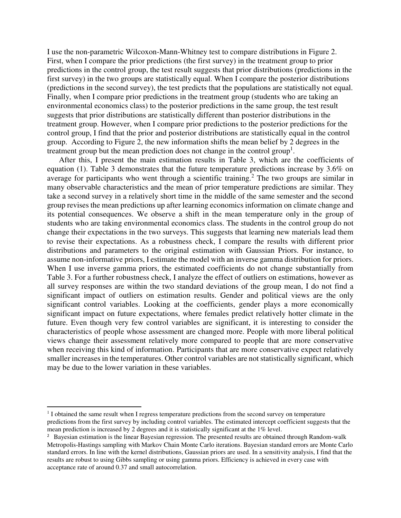I use the non-parametric Wilcoxon-Mann-Whitney test to compare distributions in Figure 2. First, when I compare the prior predictions (the first survey) in the treatment group to prior predictions in the control group, the test result suggests that prior distributions (predictions in the first survey) in the two groups are statistically equal. When I compare the posterior distributions (predictions in the second survey), the test predicts that the populations are statistically not equal. Finally, when I compare prior predictions in the treatment group (students who are taking an environmental economics class) to the posterior predictions in the same group, the test result suggests that prior distributions are statistically different than posterior distributions in the treatment group. However, when I compare prior predictions to the posterior predictions for the control group, I find that the prior and posterior distributions are statistically equal in the control group. According to Figure 2, the new information shifts the mean belief by 2 degrees in the treatment group but the mean prediction does not change in the control group<sup>1</sup>.

After this, I present the main estimation results in Table 3, which are the coefficients of equation (1). Table 3 demonstrates that the future temperature predictions increase by 3.6% on average for participants who went through a scientific training.<sup>2</sup> The two groups are similar in many observable characteristics and the mean of prior temperature predictions are similar. They take a second survey in a relatively short time in the middle of the same semester and the second group revises the mean predictions up after learning economics information on climate change and its potential consequences. We observe a shift in the mean temperature only in the group of students who are taking environmental economics class. The students in the control group do not change their expectations in the two surveys. This suggests that learning new materials lead them to revise their expectations. As a robustness check, I compare the results with different prior distributions and parameters to the original estimation with Gaussian Priors. For instance, to assume non-informative priors, I estimate the model with an inverse gamma distribution for priors. When I use inverse gamma priors, the estimated coefficients do not change substantially from Table 3. For a further robustness check, I analyze the effect of outliers on estimations, however as all survey responses are within the two standard deviations of the group mean, I do not find a significant impact of outliers on estimation results. Gender and political views are the only significant control variables. Looking at the coefficients, gender plays a more economically significant impact on future expectations, where females predict relatively hotter climate in the future. Even though very few control variables are significant, it is interesting to consider the characteristics of people whose assessment are changed more. People with more liberal political views change their assessment relatively more compared to people that are more conservative when receiving this kind of information. Participants that are more conservative expect relatively smaller increases in the temperatures. Other control variables are not statistically significant, which may be due to the lower variation in these variables.

l

<sup>&</sup>lt;sup>1</sup> I obtained the same result when I regress temperature predictions from the second survey on temperature predictions from the first survey by including control variables. The estimated intercept coefficient suggests that the mean prediction is increased by 2 degrees and it is statistically significant at the 1% level.

<sup>&</sup>lt;sup>2</sup> Bayesian estimation is the linear Bayesian regression. The presented results are obtained through Random-walk Metropolis-Hastings sampling with Markov Chain Monte Carlo iterations. Bayesian standard errors are Monte Carlo standard errors. In line with the kernel distributions, Gaussian priors are used. In a sensitivity analysis, I find that the results are robust to using Gibbs sampling or using gamma priors. Efficiency is achieved in every case with acceptance rate of around 0.37 and small autocorrelation.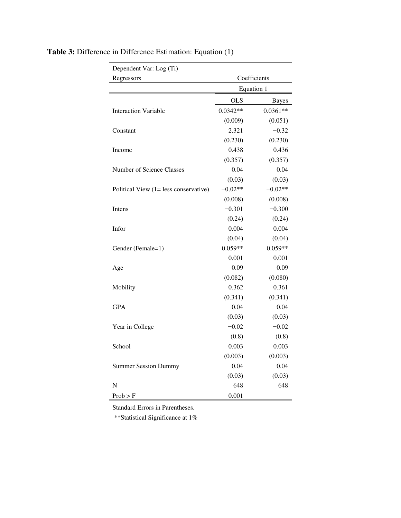| Dependent Var: Log (Ti)               |              |              |
|---------------------------------------|--------------|--------------|
| Regressors                            | Coefficients |              |
|                                       | Equation 1   |              |
|                                       | <b>OLS</b>   | <b>Bayes</b> |
| <b>Interaction Variable</b>           | $0.0342**$   | $0.0361**$   |
|                                       | (0.009)      | (0.051)      |
| Constant                              | 2.321        | $-0.32$      |
|                                       | (0.230)      | (0.230)      |
| Income                                | 0.438        | 0.436        |
|                                       | (0.357)      | (0.357)      |
| Number of Science Classes             | 0.04         | 0.04         |
|                                       | (0.03)       | (0.03)       |
| Political View (1= less conservative) | $-0.02**$    | $-0.02**$    |
|                                       | (0.008)      | (0.008)      |
| Intens                                | $-0.301$     | $-0.300$     |
|                                       | (0.24)       | (0.24)       |
| Infor                                 | 0.004        | 0.004        |
|                                       | (0.04)       | (0.04)       |
| Gender (Female=1)                     | $0.059**$    | $0.059**$    |
|                                       | 0.001        | 0.001        |
| Age                                   | 0.09         | 0.09         |
|                                       | (0.082)      | (0.080)      |
| Mobility                              | 0.362        | 0.361        |
|                                       | (0.341)      | (0.341)      |
| <b>GPA</b>                            | 0.04         | 0.04         |
|                                       | (0.03)       | (0.03)       |
| Year in College                       | $-0.02$      | $-0.02$      |
|                                       | (0.8)        | (0.8)        |
| School                                | 0.003        | 0.003        |
|                                       | (0.003)      | (0.003)      |
| <b>Summer Session Dummy</b>           | 0.04         | 0.04         |
|                                       | (0.03)       | (0.03)       |
| N                                     | 648          | 648          |
| Prob > F                              | 0.001        |              |

# **Table 3:** Difference in Difference Estimation: Equation (1)

Standard Errors in Parentheses.

\*\*Statistical Significance at 1%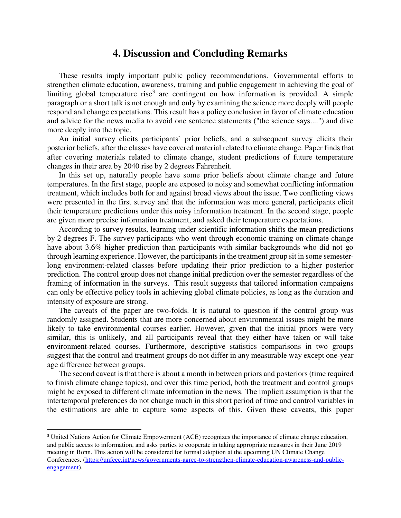### **4. Discussion and Concluding Remarks**

These results imply important public policy recommendations. Governmental efforts to strengthen climate education, awareness, training and public engagement in achieving the goal of limiting global temperature rise<sup>3</sup> are contingent on how information is provided. A simple paragraph or a short talk is not enough and only by examining the science more deeply will people respond and change expectations. This result has a policy conclusion in favor of climate education and advice for the news media to avoid one sentence statements ("the science says....") and dive more deeply into the topic.

An initial survey elicits participants` prior beliefs, and a subsequent survey elicits their posterior beliefs, after the classes have covered material related to climate change. Paper finds that after covering materials related to climate change, student predictions of future temperature changes in their area by 2040 rise by 2 degrees Fahrenheit.

In this set up, naturally people have some prior beliefs about climate change and future temperatures. In the first stage, people are exposed to noisy and somewhat conflicting information treatment, which includes both for and against broad views about the issue. Two conflicting views were presented in the first survey and that the information was more general, participants elicit their temperature predictions under this noisy information treatment. In the second stage, people are given more precise information treatment, and asked their temperature expectations.

According to survey results, learning under scientific information shifts the mean predictions by 2 degrees F. The survey participants who went through economic training on climate change have about 3.6% higher prediction than participants with similar backgrounds who did not go through learning experience. However, the participants in the treatment group sit in some semesterlong environment-related classes before updating their prior prediction to a higher posterior prediction. The control group does not change initial prediction over the semester regardless of the framing of information in the surveys. This result suggests that tailored information campaigns can only be effective policy tools in achieving global climate policies, as long as the duration and intensity of exposure are strong.

The caveats of the paper are two-folds. It is natural to question if the control group was randomly assigned. Students that are more concerned about environmental issues might be more likely to take environmental courses earlier. However, given that the initial priors were very similar, this is unlikely, and all participants reveal that they either have taken or will take environment-related courses. Furthermore, descriptive statistics comparisons in two groups suggest that the control and treatment groups do not differ in any measurable way except one-year age difference between groups.

The second caveat is that there is about a month in between priors and posteriors (time required to finish climate change topics), and over this time period, both the treatment and control groups might be exposed to different climate information in the news. The implicit assumption is that the intertemporal preferences do not change much in this short period of time and control variables in the estimations are able to capture some aspects of this. Given these caveats, this paper

l

<sup>&</sup>lt;sup>3</sup> United Nations Action for Climate Empowerment (ACE) recognizes the importance of climate change education, and public access to information, and asks parties to cooperate in taking appropriate measures in their June 2019 meeting in Bonn. This action will be considered for formal adoption at the upcoming UN Climate Change Conferences. [\(https://unfccc.int/news/governments-agree-to-strengthen-climate-education-awareness-and-public](https://unfccc.int/news/governments-agree-to-strengthen-climate-education-awareness-and-public-engagement)[engagement\)](https://unfccc.int/news/governments-agree-to-strengthen-climate-education-awareness-and-public-engagement).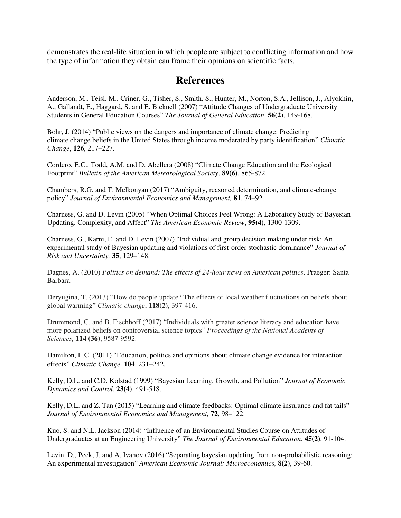demonstrates the real-life situation in which people are subject to conflicting information and how the type of information they obtain can frame their opinions on scientific facts.

### **References**

Anderson, M., Teisl, M., Criner, G., Tisher, S., Smith, S., Hunter, M., Norton, S.A., Jellison, J., Alyokhin, A., Gallandt, E., Haggard, S. and E. Bicknell (2007) "Attitude Changes of Undergraduate University Students in General Education Courses" *The Journal of General Education*, **56(2)**, 149-168.

Bohr, J. (2014) "Public views on the dangers and importance of climate change: Predicting climate change beliefs in the United States through income moderated by party identification" *Climatic Change*, **126**, 217–227.

Cordero, E.C., Todd, A.M. and D. Abellera (2008) "Climate Change Education and the Ecological Footprint" *Bulletin of the American Meteorological Society*, **89(6)**, 865-872.

Chambers, R.G. and T. Melkonyan (2017) "Ambiguity, reasoned determination, and climate-change policy" *Journal of Environmental Economics and Management,* **81**, 74–92.

Charness, G. and D. Levin (2005) "When Optimal Choices Feel Wrong: A Laboratory Study of Bayesian Updating, Complexity, and Affect" *The American Economic Review*, **95(4)**, 1300-1309.

Charness, G., Karni, E. and D. Levin (2007) "Individual and group decision making under risk: An experimental study of Bayesian updating and violations of first-order stochastic dominance" *Journal of Risk and Uncertainty,* **35**, 129–148.

Dagnes, A. (2010) *Politics on demand: The effects of 24-hour news on American politics*. Praeger: Santa Barbara.

Deryugina, T. (2013) "How do people update? The effects of local weather fluctuations on beliefs about global warming" *Climatic change*, **118(2)**, 397-416.

Drummond, C. and B. Fischhoff (2017) "Individuals with greater science literacy and education have more polarized beliefs on controversial science topics" *Proceedings of the National Academy of Sciences,* **114 (36)**, 9587-9592.

Hamilton, L.C. (2011) "Education, politics and opinions about climate change evidence for interaction effects" *Climatic Change,* **104**, 231–242.

Kelly, D.L. and C.D. Kolstad (1999) "Bayesian Learning, Growth, and Pollution" *Journal of Economic Dynamics and Control*, **[23\(4\)](https://www.sciencedirect.com/science/journal/01651889/23/4)**, 491-518.

Kelly, D.L. and Z. Tan (2015) "Learning and climate feedbacks: Optimal climate insurance and fat tails" *Journal of Environmental Economics and Management,* **72**, 98–122.

Kuo, S. and N.L. Jackson (2014) "Influence of an Environmental Studies Course on Attitudes of Undergraduates at an Engineering University" *The Journal of Environmental Education*, **45(2)**, 91-104.

Levin, D., Peck, J. and A. Ivanov (2016) "Separating bayesian updating from non-probabilistic reasoning: An experimental investigation" *American Economic Journal: Microeconomics,* **8(2)**, 39-60.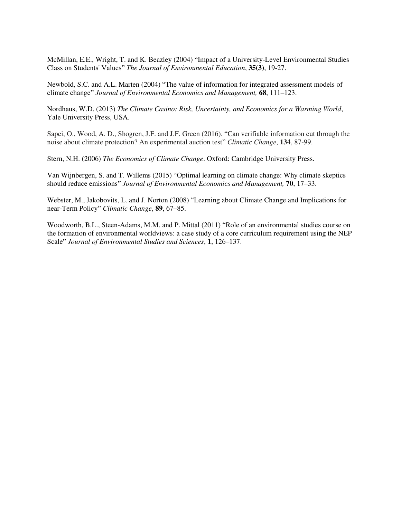McMillan, E.E., Wright, T. and K. Beazley (2004) "Impact of a University-Level Environmental Studies Class on Students' Values" *The Journal of Environmental Education*, **35(3)**, 19-27.

Newbold, S.C. and A.L. Marten (2004) "The value of information for integrated assessment models of climate change" *Journal of Environmental Economics and Management,* **68**, 111–123.

Nordhaus, W.D. (2013) *The Climate Casino: Risk, Uncertainty, and Economics for a Warming World*, Yale University Press, USA.

Sapci, O., Wood, A. D., Shogren, J.F. and J.F. Green (2016). "Can verifiable information cut through the noise about climate protection? An experimental auction test" *Climatic Change*, **134**, 87-99.

Stern, N.H. (2006) *The Economics of Climate Change*. Oxford: Cambridge University Press.

Van Wijnbergen, S. and T. Willems (2015) "Optimal learning on climate change: Why climate skeptics should reduce emissions" *Journal of Environmental Economics and Management,* **70**, 17–33.

Webster, M., Jakobovits, L. and J. Norton (2008) "Learning about Climate Change and Implications for near-Term Policy" *Climatic Change*, **89**, 67–85.

Woodworth, B.L., Steen-Adams, M.M. and P. Mittal (2011) "Role of an environmental studies course on the formation of environmental worldviews: a case study of a core curriculum requirement using the NEP Scale" *Journal of Environmental Studies and Sciences*, **1**, 126–137.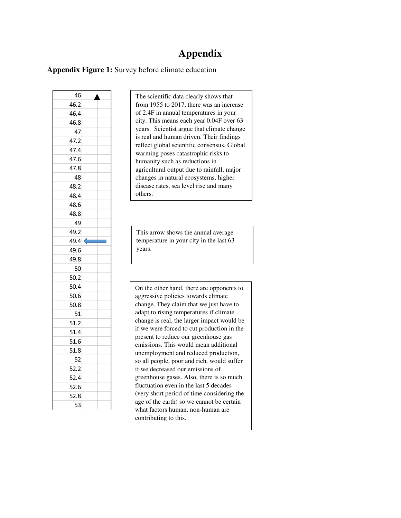## **Appendix**

**Appendix Figure 1:** Survey before climate education

| 46         |  |
|------------|--|
| 46.2       |  |
| 46.4       |  |
| 46.8       |  |
| 47         |  |
| 47.2       |  |
| 47.4       |  |
| 47.6       |  |
| 47.8       |  |
| 48         |  |
| 48.2       |  |
| 48.4       |  |
| 48.6       |  |
| 48.8       |  |
| 49         |  |
| 49.2       |  |
| 49.4       |  |
|            |  |
| 49.6       |  |
| 49.8       |  |
| 50         |  |
| 50.2       |  |
| 50.4       |  |
| 50.6       |  |
| 50.8       |  |
| 51         |  |
| 51.2       |  |
| 51.4       |  |
| 51.6       |  |
| 51.8       |  |
| 52         |  |
| 52.2       |  |
| 52.4       |  |
| 52.6       |  |
| 52.8<br>53 |  |

The scientific data clearly shows that from 1955 to 2017, there was an increase of 2.4F in annual temperatures in your city. This means each year 0.04F over 63 years. Scientist argue that climate change is real and human driven. Their findings reflect global scientific consensus. Global warming poses catastrophic risks to humanity such as reductions in agricultural output due to rainfall, major changes in natural ecosystems, higher disease rates, sea level rise and many others.

This arrow shows the annual average temperature in your city in the last 63 years.

On the other hand, there are opponents to aggressive policies towards climate change. They claim that we just have to adapt to rising temperatures if climate change is real, the larger impact would be if we were forced to cut production in the present to reduce our greenhouse gas emissions. This would mean additional unemployment and reduced production, so all people, poor and rich, would suffer if we decreased our emissions of greenhouse gases. Also, there is so much fluctuation even in the last 5 decades (very short period of time considering the age of the earth) so we cannot be certain what factors human, non-human are contributing to this.